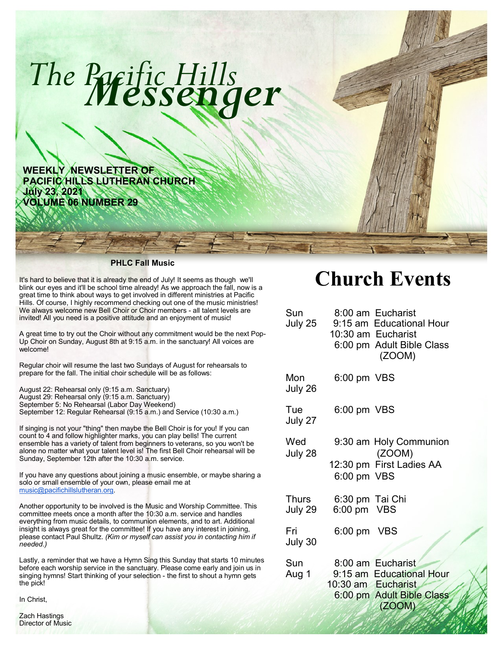

**WEEKLY NEWSLETTER OF PACIFIC HILLS LUTHERAN CHURCH July 23, 2021 VOLUME 06 NUMBER 29**

#### **PHLC Fall Music**

It's hard to believe that it is already the end of July! It seems as though we'll blink our eyes and it'll be school time already! As we approach the fall, now is a great time to think about ways to get involved in different ministries at Pacific Hills. Of course, I highly recommend checking out one of the music ministries! We always welcome new Bell Choir or Choir members - all talent levels are invited! All you need is a positive attitude and an enjoyment of music!

A great time to try out the Choir without any commitment would be the next Pop-Up Choir on Sunday, August 8th at 9:15 a.m. in the sanctuary! All voices are welcome!

Regular choir will resume the last two Sundays of August for rehearsals to prepare for the fall. The initial choir schedule will be as follows:

August 22: Rehearsal only (9:15 a.m. Sanctuary) August 29: Rehearsal only (9:15 a.m. Sanctuary) September 5: No Rehearsal (Labor Day Weekend) September 12: Regular Rehearsal (9:15 a.m.) and Service (10:30 a.m.)

If singing is not your "thing" then maybe the Bell Choir is for you! If you can count to 4 and follow highlighter marks, you can play bells! The current ensemble has a variety of talent from beginners to veterans, so you won't be alone no matter what your talent level is! The first Bell Choir rehearsal will be Sunday, September 12th after the 10:30 a.m. service.

If you have any questions about joining a music ensemble, or maybe sharing a solo or small ensemble of your own, please email me at [music@pacifichillslutheran.org.](mailto:music@pacifichillslutheran.org)

Another opportunity to be involved is the Music and Worship Committee. This committee meets once a month after the 10:30 a.m. service and handles everything from music details, to communion elements, and to art. Additional insight is always great for the committee! If you have any interest in joining, please contact Paul Shultz. *(Kim or myself can assist you in contacting him if needed.)*

Lastly, a reminder that we have a Hymn Sing this Sunday that starts 10 minutes before each worship service in the sanctuary. Please come early and join us in singing hymns! Start thinking of your selection - the first to shout a hymn gets the pick!

In Christ,

Zach Hastings Director of Music

# **Church Events**

| Sun<br>July 25   |                                | 8:00 am Eucharist<br>9:15 am Educational Hour<br>10:30 am Eucharist<br>6:00 pm Adult Bible Class<br>(ZOOM) |
|------------------|--------------------------------|------------------------------------------------------------------------------------------------------------|
| Mon<br>July 26   | 6:00 pm VBS                    |                                                                                                            |
| Tue<br>July 27   | 6:00 pm VBS                    |                                                                                                            |
| Wed<br>July 28   | 6:00 pm VBS                    | 9:30 am Holy Communion<br>(ZOOM)<br>12:30 pm First Ladies AA                                               |
| Thurs<br>July 29 | 6:30 pm Tai Chi<br>6:00 pm VBS |                                                                                                            |
| Fri<br>July 30   | 6:00 pm VBS                    |                                                                                                            |
| Sun<br>Aug 1     |                                | 8:00 am Eucharist<br>9:15 am Educational Hour<br>10:30 am Eucharist<br>6:00 pm Adult Bible Class<br>(ZOOM) |